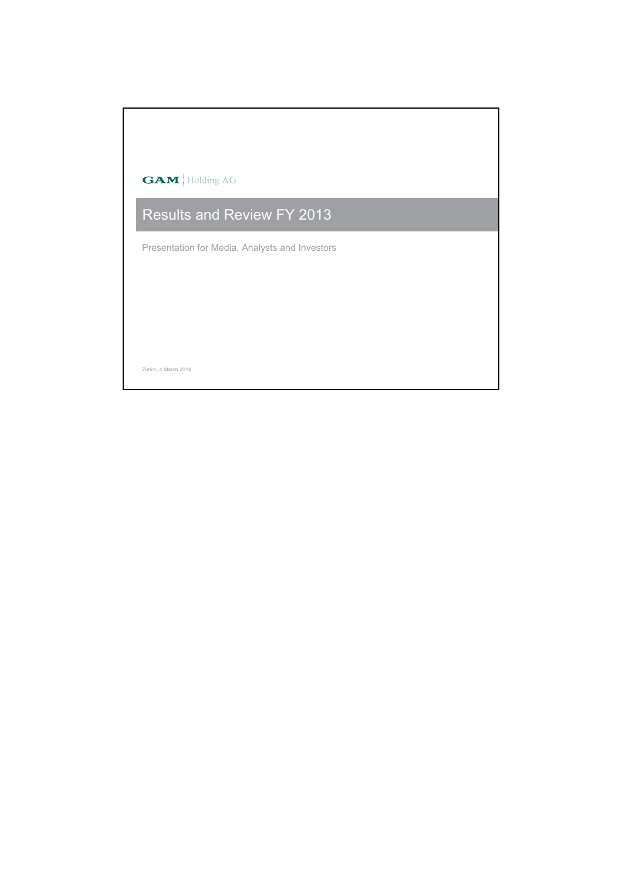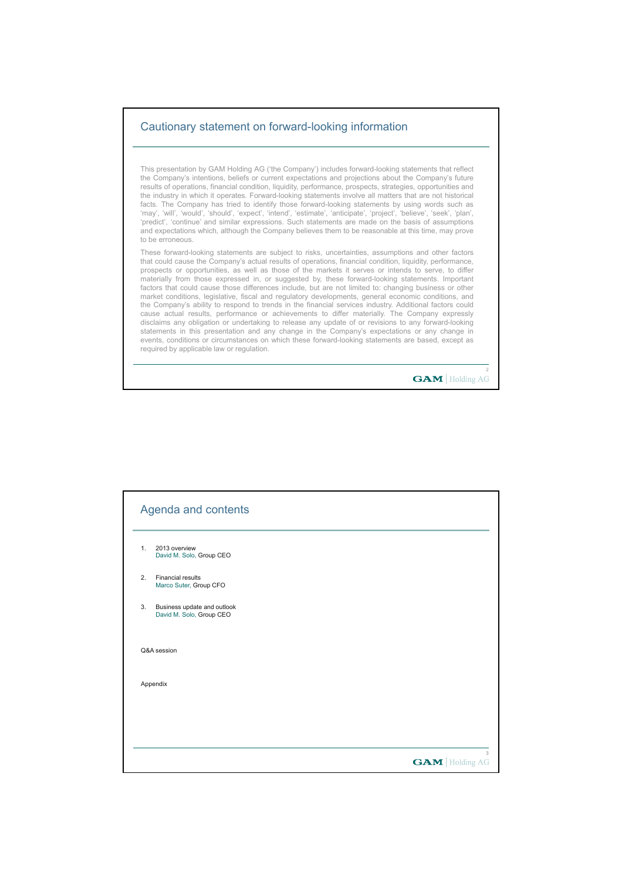## Cautionary statement on forward-looking information

This presentation by GAM Holding AG ('the Company') includes forward-looking statements that reflect the Company's intentions, beliefs or current expectations and projections about the Company's future results of operations, financial condition, liquidity, performance, prospects, strategies, opportunities and the industry in which it operates. Forward-looking statements involve all matters that are not historical facts. The Company has tried to identify those forward-looking statements by using words such as 'may', 'will', 'would', 'should', 'expect', 'intend', 'estimate', 'anticipate', 'project', 'believe', 'seek', 'plan', 'predict', 'continue' and similar expressions. Such statements are made on the basis of assumptions and expectations which, although the Company believes them to be reasonable at this time, may prove to be erroneous.

These forward-looking statements are subject to risks, uncertainties, assumptions and other factors that could cause the Company's actual results of operations, financial condition, liquidity, performance, prospects or opportunities, as well as those of the markets it serves or intends to serve, to differ materially from those expressed in, or suggested by, these forward-looking statements. Important factors that could cause those differences include, but are not limited to: changing business or other market conditions, legislative, fiscal and regulatory developments, general economic conditions, and the Company's ability to respond to trends in the financial services industry. Additional factors could cause actual results, performance or achievements to differ materially. The Company expressly disclaims any obligation or undertaking to release any update of or revisions to any forward-looking statements in this presentation and any change in the Company's expectations or any change in events, conditions or circumstances on which these forward-looking statements are based, except as required by applicable law or regulation.

**GAM** Holding AG

|    | Agenda and contents                                     |  |                       |
|----|---------------------------------------------------------|--|-----------------------|
| 1. | 2013 overview<br>David M. Solo, Group CEO               |  |                       |
| 2. | <b>Financial results</b><br>Marco Suter, Group CFO      |  |                       |
| 3. | Business update and outlook<br>David M. Solo, Group CEO |  |                       |
|    | Q&A session                                             |  |                       |
|    | Appendix                                                |  |                       |
|    |                                                         |  |                       |
|    |                                                         |  | 3                     |
|    |                                                         |  | <b>GAM</b> Holding AG |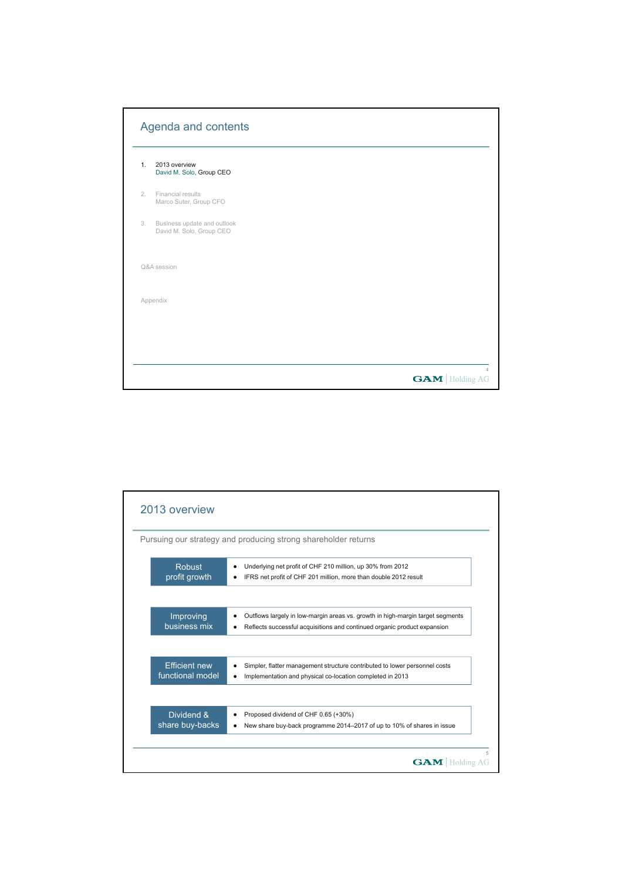|    | Agenda and contents                                     |                       |
|----|---------------------------------------------------------|-----------------------|
| 1. | 2013 overview<br>David M. Solo, Group CEO               |                       |
| 2. | Financial results<br>Marco Suter, Group CFO             |                       |
| 3. | Business update and outlook<br>David M. Solo, Group CEO |                       |
|    | Q&A session                                             |                       |
|    | Appendix                                                |                       |
|    |                                                         |                       |
|    |                                                         |                       |
|    |                                                         | <b>GAM</b> Holding AG |

|                      | Pursuing our strategy and producing strong shareholder returns                 |
|----------------------|--------------------------------------------------------------------------------|
| <b>Robust</b>        | Underlying net profit of CHF 210 million, up 30% from 2012                     |
| profit growth        | IFRS net profit of CHF 201 million, more than double 2012 result               |
| Improving            | Outflows largely in low-margin areas vs. growth in high-margin target segments |
| business mix         | Reflects successful acquisitions and continued organic product expansion       |
| <b>Ffficient new</b> | Simpler, flatter management structure contributed to lower personnel costs     |
| functional model     | Implementation and physical co-location completed in 2013                      |
| Dividend &           | Proposed dividend of CHF 0.65 (+30%)                                           |
| share buy-backs      | New share buy-back programme 2014–2017 of up to 10% of shares in issue         |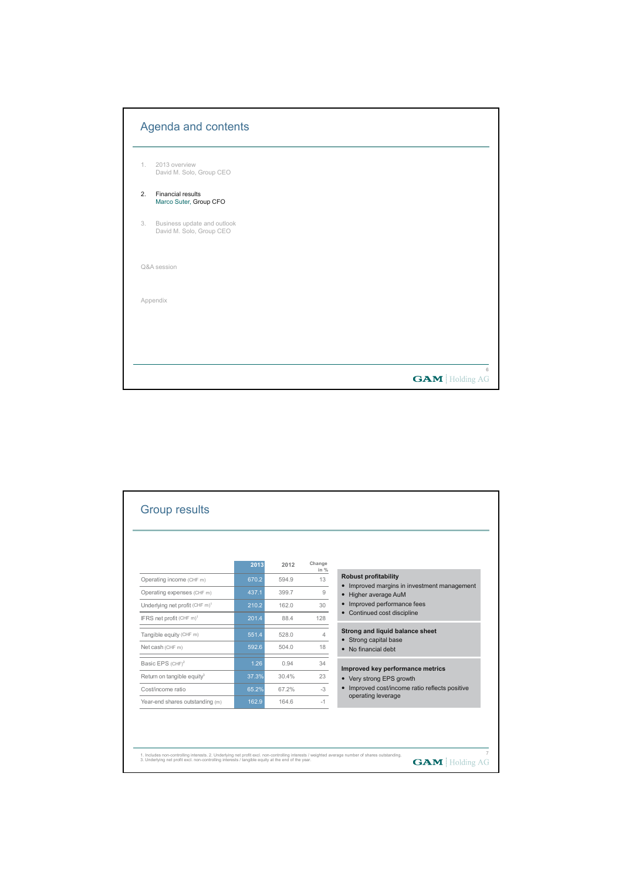|    | Agenda and contents                                     |                       |
|----|---------------------------------------------------------|-----------------------|
| 1. | 2013 overview<br>David M. Solo, Group CEO               |                       |
| 2. | <b>Financial results</b><br>Marco Suter, Group CFO      |                       |
| 3. | Business update and outlook<br>David M. Solo, Group CEO |                       |
|    | Q&A session                                             |                       |
|    | Appendix                                                |                       |
|    |                                                         |                       |
|    |                                                         |                       |
|    |                                                         | <b>GAM</b> Holding AG |

|                                            | 2013  | 2012  | Change<br>in $%$ |                                                                     |
|--------------------------------------------|-------|-------|------------------|---------------------------------------------------------------------|
| Operating income (CHF m)                   | 670.2 | 594.9 | 13               | <b>Robust profitability</b>                                         |
| Operating expenses (CHF m)                 | 437.1 | 399.7 | 9                | • Improved margins in investment management<br>• Higher average AuM |
| Underlying net profit (CHF m) <sup>1</sup> | 210.2 | 162.0 | 30               | • Improved performance fees                                         |
| IFRS net profit (CHF m) <sup>1</sup>       | 201.4 | 88.4  | 128              | • Continued cost discipline                                         |
| Tangible equity (CHF m)                    | 551.4 | 528.0 | 4                | Strong and liquid balance sheet                                     |
| Net cash (CHF m)                           | 592.6 | 504.0 | 18               | • Strong capital base<br>• No financial debt                        |
| Basic EPS (CHF) <sup>2</sup>               | 1.26  | 0.94  | 34               | Improved key performance metrics                                    |
| Return on tangible equity <sup>3</sup>     | 37.3% | 30.4% | 23               | • Very strong EPS growth                                            |
| Cost/income ratio                          | 65.2% | 67.2% | $-3$             | • Improved cost/income ratio reflects positive                      |
| Year-end shares outstanding (m)            | 162.9 | 164.6 | $-1$             | operating leverage                                                  |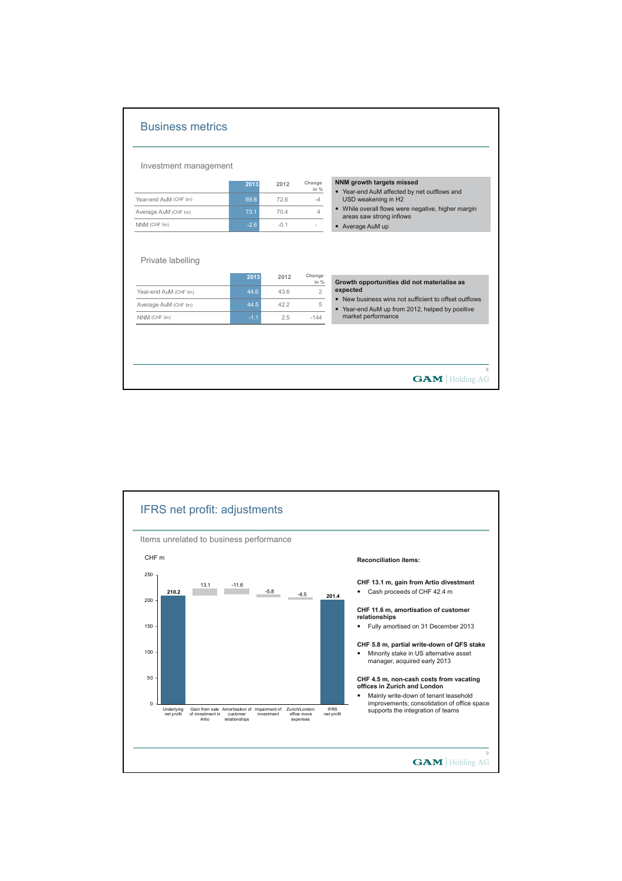| Investment management                                         |                |             |                  |                                                                          |
|---------------------------------------------------------------|----------------|-------------|------------------|--------------------------------------------------------------------------|
|                                                               | 2013           | 2012        | Change<br>in $%$ | NNM growth targets missed<br>• Year-end AuM affected by net outflows and |
| Year-end AuM (CHF bn)                                         | 69.8           | 72.6        | $-4$             | USD weakening in H2                                                      |
|                                                               | 73.1           | 70.4        | $\overline{4}$   | • While overall flows were negative, higher margin                       |
|                                                               |                |             |                  |                                                                          |
| Average AuM (CHF bn)<br>NNM (CHF bn)<br>Private labelling     | $-2.6$         | $-0.1$      | $\overline{a}$   | areas saw strong inflows<br>• Average AuM up                             |
|                                                               | 2013           | 2012        | Change<br>in %   | Growth opportunities did not materialise as<br>expected                  |
|                                                               | 44.6           | 43.6        | $\overline{2}$   | • New business wins not sufficient to offset outflows                    |
| Year-end AuM (CHF bn)<br>Average AuM (CHF bn)<br>NNM (CHF bn) | 44.5<br>$-1.1$ | 42.2<br>2.5 | 5<br>$-144$      | • Year-end AuM up from 2012, helped by positive<br>market performance    |

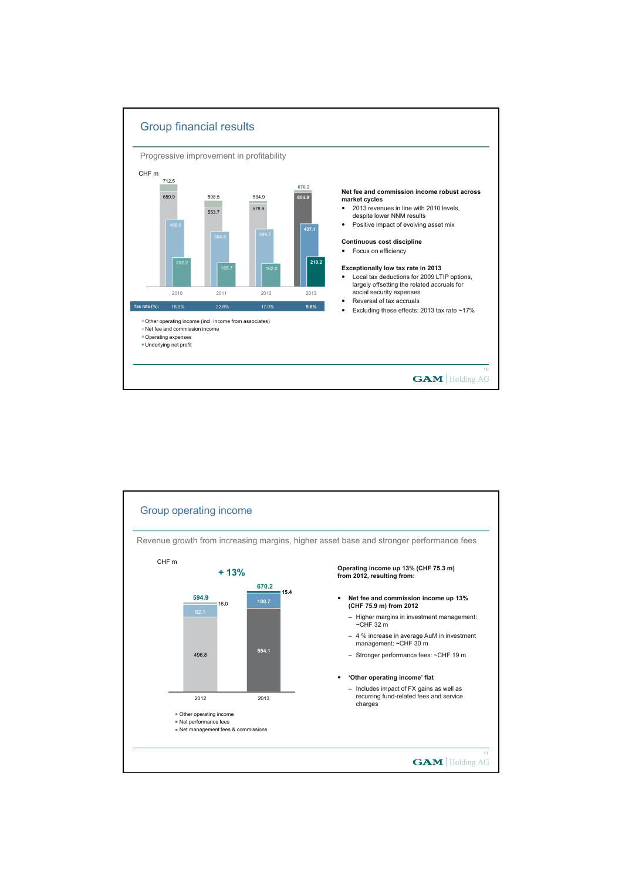

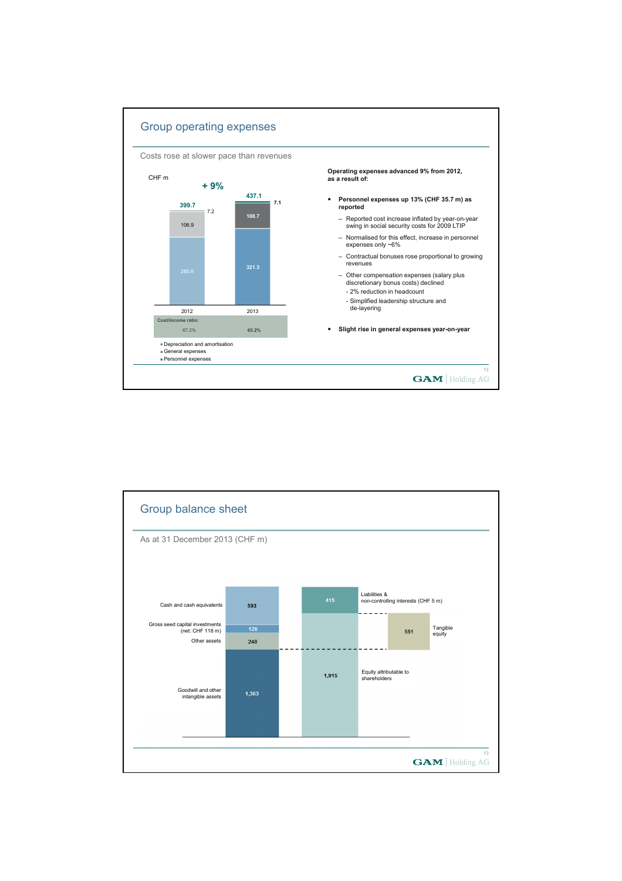

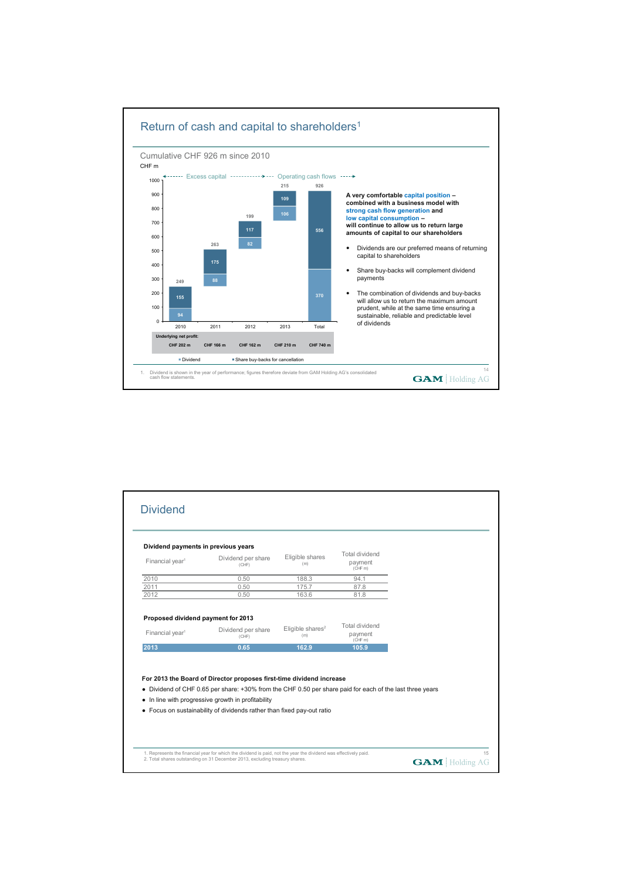

| Dividend payments in previous years                               |                             |                            |                                      |  |
|-------------------------------------------------------------------|-----------------------------|----------------------------|--------------------------------------|--|
| Financial year <sup>1</sup>                                       | Dividend per share<br>(CHF) | Eligible shares<br>(m)     | Total dividend<br>payment<br>(CHF m) |  |
| 2010                                                              | 0.50                        | 188.3                      | 94.1                                 |  |
| 2011                                                              | 0.50                        | 175.7                      | 87.8                                 |  |
| 2012                                                              | 0.50                        | 163.6                      | 81.8                                 |  |
| Proposed dividend payment for 2013<br>Financial year <sup>1</sup> | Dividend per share<br>(CHF) | Eligible shares $2$<br>(m) | Total dividend<br>payment            |  |
| 2013                                                              | 0.65                        | 162.9                      | (CHF m)<br>105.9                     |  |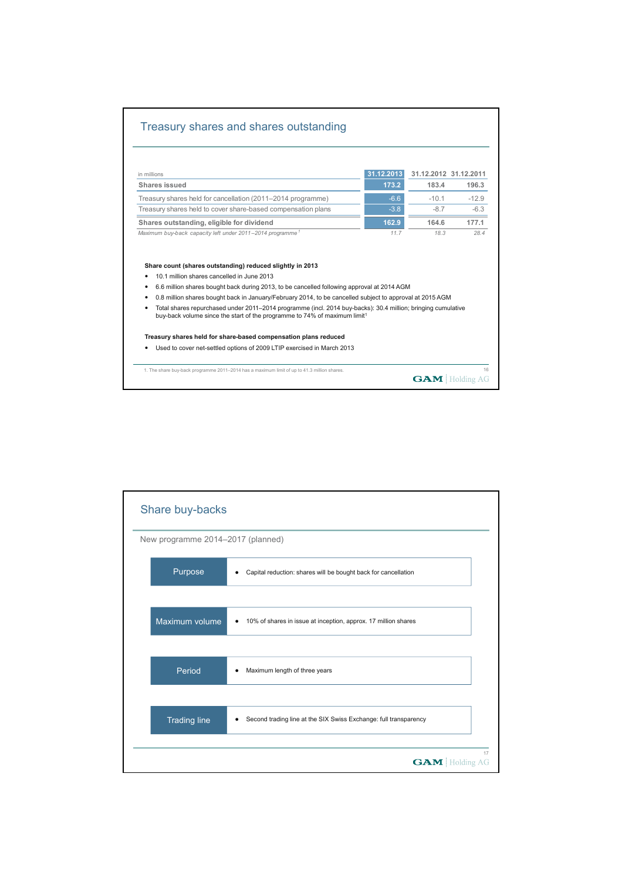## Treasury shares and shares outstanding

| in millions                                                                                                                                                                                                                                                                                                            | 31.12.2013 | 31.12.2012 31.12.2011 |         |
|------------------------------------------------------------------------------------------------------------------------------------------------------------------------------------------------------------------------------------------------------------------------------------------------------------------------|------------|-----------------------|---------|
| Shares issued                                                                                                                                                                                                                                                                                                          | 173.2      | 183.4                 | 196.3   |
| Treasury shares held for cancellation (2011–2014 programme)                                                                                                                                                                                                                                                            | $-6.6$     | $-10.1$               | $-12.9$ |
| Treasury shares held to cover share-based compensation plans                                                                                                                                                                                                                                                           | $-3.8$     | $-8.7$                | $-6.3$  |
| Shares outstanding, eligible for dividend                                                                                                                                                                                                                                                                              | 162.9      | 164.6                 | 177.1   |
| Maximum buy-back capacity left under 2011-2014 programme <sup>1</sup>                                                                                                                                                                                                                                                  | 11.7       | 18.3                  | 28.4    |
| Share count (shares outstanding) reduced slightly in 2013<br>10.1 million shares cancelled in June 2013<br>٠<br>6.6 million shares bought back during 2013, to be cancelled following approval at 2014 AGM<br>٠                                                                                                        |            |                       |         |
| 0.8 million shares bought back in January/February 2014, to be cancelled subject to approval at 2015 AGM<br>Total shares repurchased under 2011–2014 programme (incl. 2014 buy-backs): 30.4 million; bringing cumulative<br>٠<br>buy-back volume since the start of the programme to 74% of maximum limit <sup>1</sup> |            |                       |         |
| Treasury shares held for share-based compensation plans reduced                                                                                                                                                                                                                                                        |            |                       |         |

| Share buy-backs                   |                                                                               |
|-----------------------------------|-------------------------------------------------------------------------------|
| New programme 2014-2017 (planned) |                                                                               |
| Purpose                           | Capital reduction: shares will be bought back for cancellation                |
|                                   |                                                                               |
| Maximum volume                    | 10% of shares in issue at inception, approx. 17 million shares<br>$\bullet$   |
|                                   |                                                                               |
| Period                            | Maximum length of three years                                                 |
|                                   |                                                                               |
| <b>Trading line</b>               | Second trading line at the SIX Swiss Exchange: full transparency<br>$\bullet$ |
|                                   | 17                                                                            |
|                                   | <b>GAM</b> Holding AG                                                         |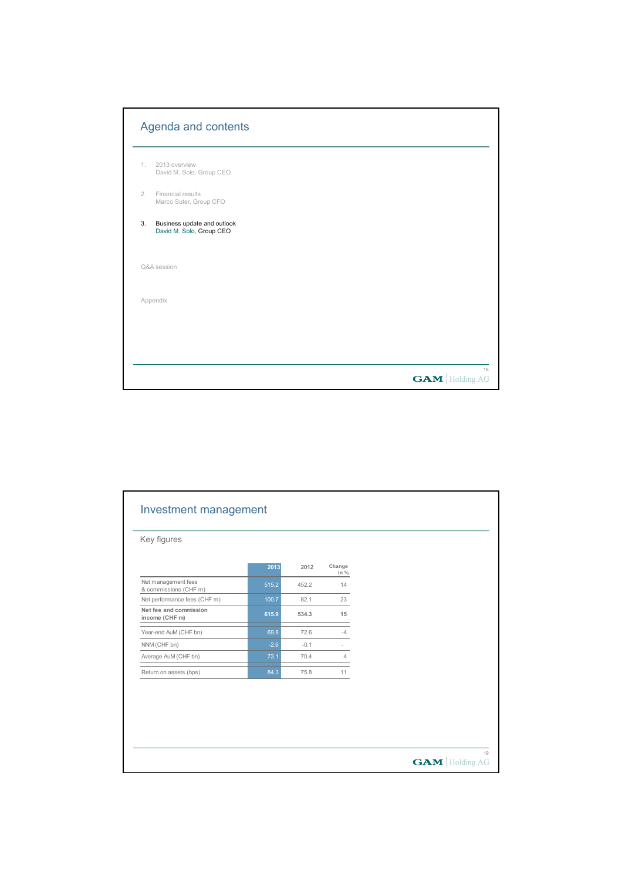|    | Agenda and contents                                     |                       |
|----|---------------------------------------------------------|-----------------------|
| 1. | 2013 overview<br>David M. Solo, Group CEO               |                       |
| 2. | Financial results<br>Marco Suter, Group CFO             |                       |
| 3. | Business update and outlook<br>David M. Solo, Group CEO |                       |
|    | Q&A session                                             |                       |
|    | Appendix                                                |                       |
|    |                                                         |                       |
|    |                                                         | 18                    |
|    |                                                         | <b>GAM</b> Holding AG |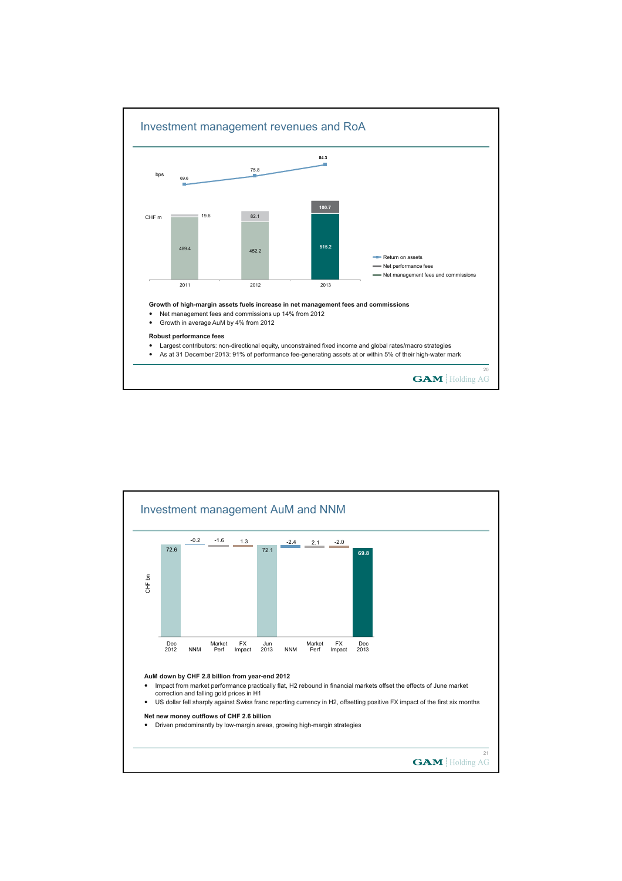

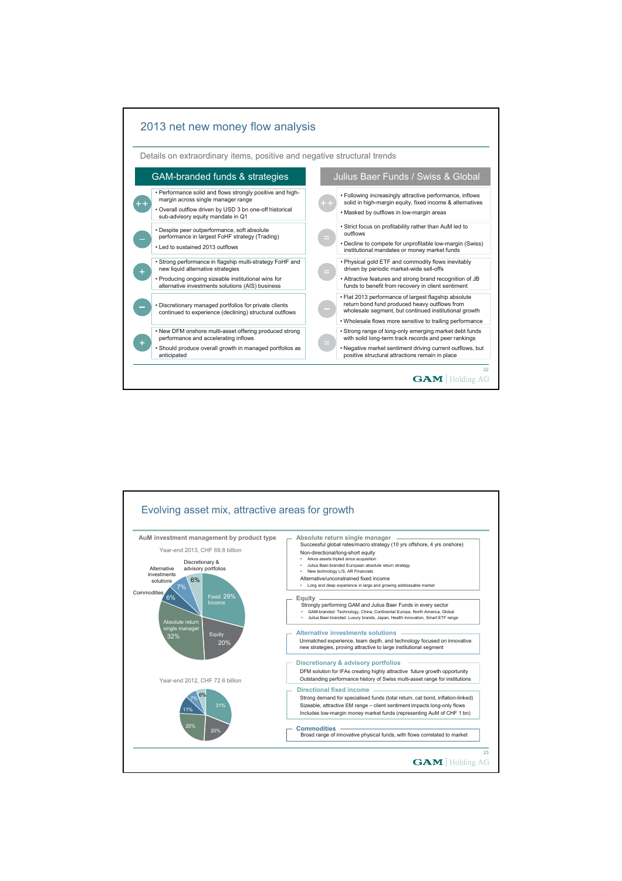

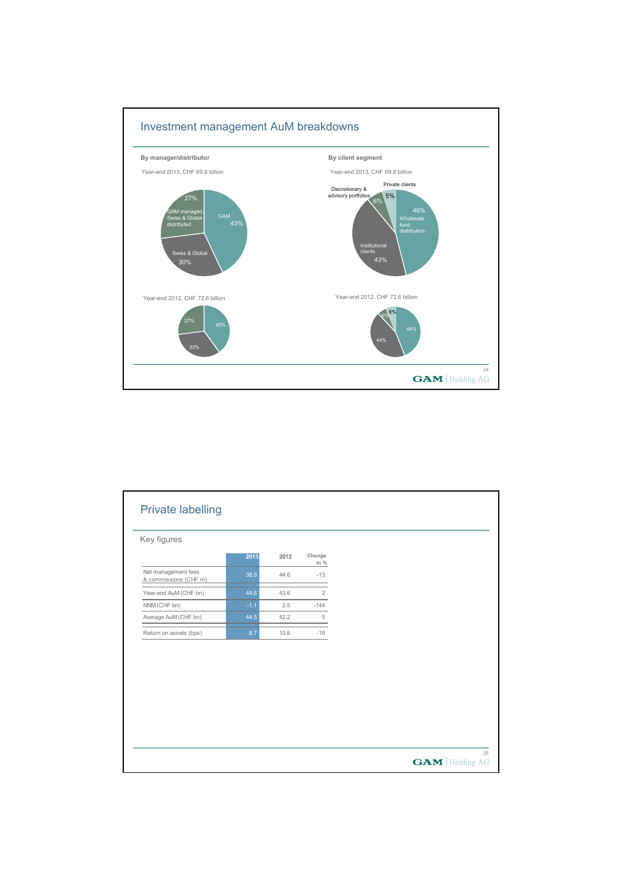

| Key figures                                  |        |      |                |  |  |
|----------------------------------------------|--------|------|----------------|--|--|
|                                              | 2013   | 2012 | Change<br>in % |  |  |
| Net management fees<br>& commissions (CHF m) | 38.9   | 44.6 | $-13$          |  |  |
| Year-end AuM (CHF bn)                        | 44.6   | 43.6 | $\overline{2}$ |  |  |
| NNM (CHF bn)                                 | $-1.1$ | 2.5  | $-144$         |  |  |
| Average AuM (CHF bn)                         | 44.5   | 42.2 | $\,$ 5         |  |  |
| Return on assets (bps)                       | 8.7    | 10.6 | $-18$          |  |  |
|                                              |        |      |                |  |  |
|                                              |        |      |                |  |  |
|                                              |        |      |                |  |  |
|                                              |        |      |                |  |  |
|                                              |        |      |                |  |  |
|                                              |        |      |                |  |  |
|                                              |        |      |                |  |  |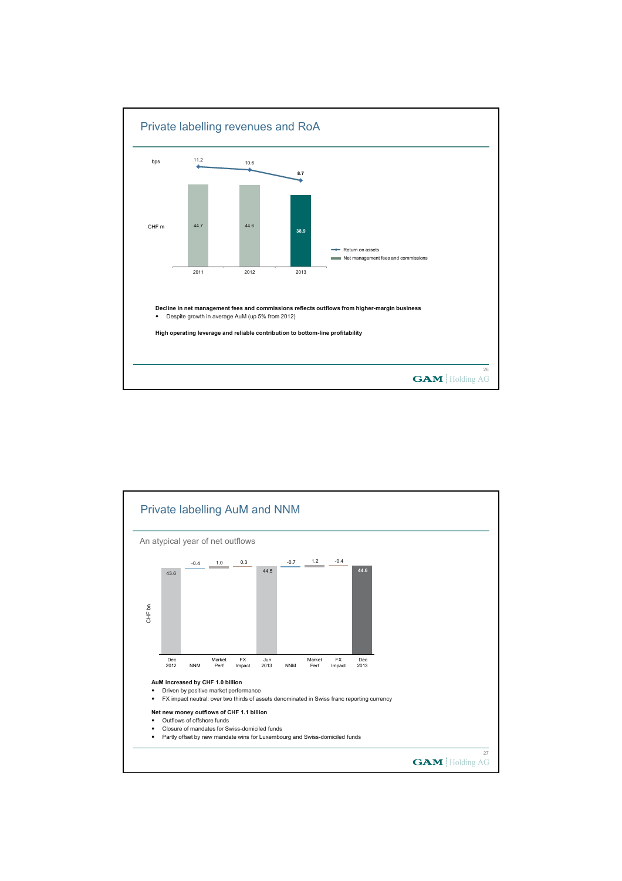

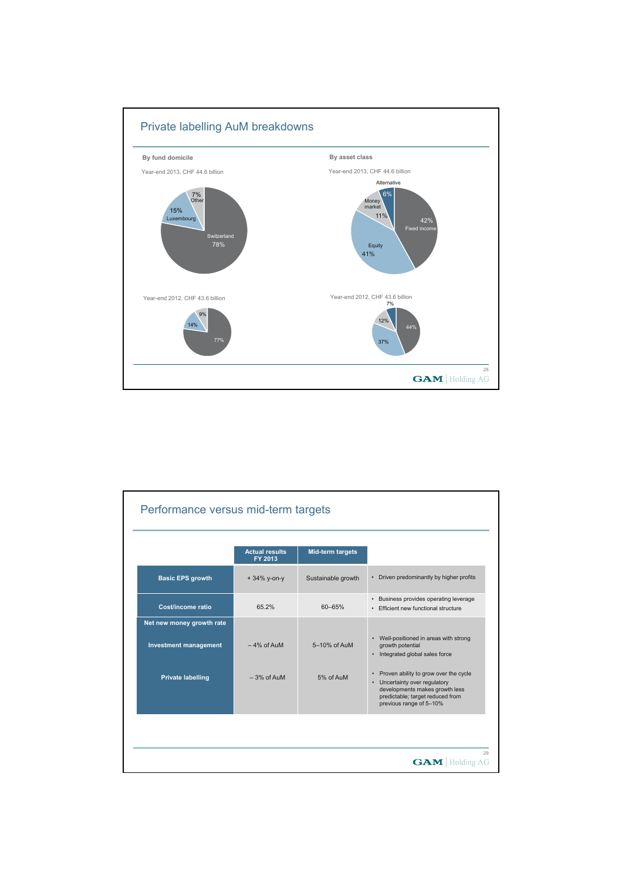

|                                                                                       | <b>Actual results</b><br>FY 2013 | <b>Mid-term targets</b>   |                                                                                                                                                      |
|---------------------------------------------------------------------------------------|----------------------------------|---------------------------|------------------------------------------------------------------------------------------------------------------------------------------------------|
| <b>Basic EPS growth</b>                                                               | $+34\%$ y-on-y                   | Sustainable growth        | Driven predominantly by higher profits<br>$\bullet$                                                                                                  |
| Cost/income ratio                                                                     | 65.2%                            | $60 - 65%$                | • Business provides operating leverage<br>• Efficient new functional structure                                                                       |
| Net new money growth rate<br><b>Investment management</b><br><b>Private labelling</b> | $-4\%$ of AuM<br>$-3%$ of AuM    | 5-10% of AuM<br>5% of AuM | Well-positioned in areas with strong<br>٠<br>growth potential<br>Integrated global sales force<br>$\bullet$<br>Proven ability to grow over the cycle |
|                                                                                       |                                  |                           | Uncertainty over regulatory<br>$\bullet$<br>developments makes growth less<br>predictable; target reduced from<br>previous range of 5-10%            |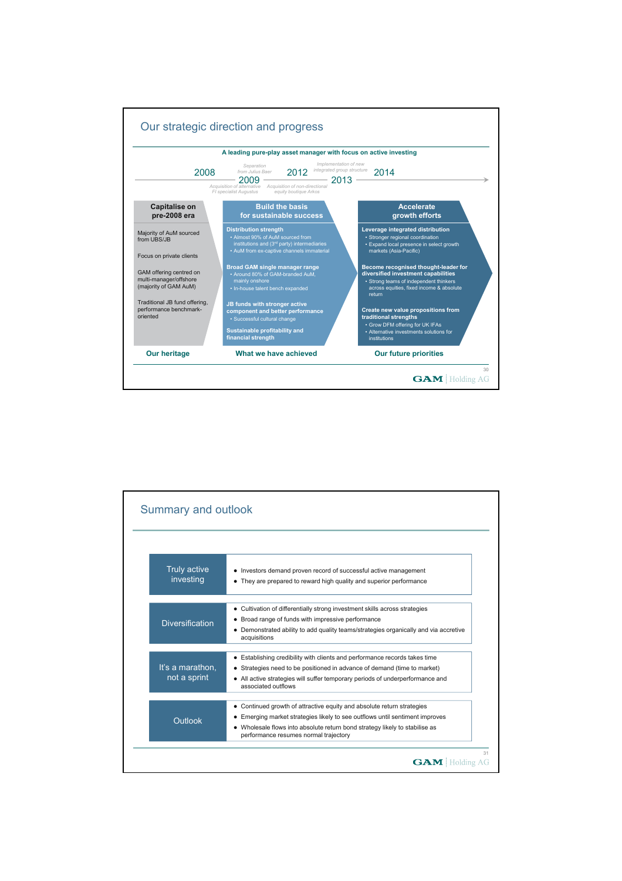

| <b>Truly active</b><br>investing | • Investors demand proven record of successful active management<br>They are prepared to reward high quality and superior performance                  |
|----------------------------------|--------------------------------------------------------------------------------------------------------------------------------------------------------|
|                                  | • Cultivation of differentially strong investment skills across strategies                                                                             |
|                                  | • Broad range of funds with impressive performance                                                                                                     |
| <b>Diversification</b>           | • Demonstrated ability to add quality teams/strategies organically and via accretive<br>acquisitions                                                   |
|                                  |                                                                                                                                                        |
| It's a marathon.                 | • Establishing credibility with clients and performance records takes time<br>• Strategies need to be positioned in advance of demand (time to market) |
| not a sprint                     | • All active strategies will suffer temporary periods of underperformance and<br>associated outflows                                                   |
|                                  | • Continued growth of attractive equity and absolute return strategies                                                                                 |
|                                  | • Emerging market strategies likely to see outflows until sentiment improves                                                                           |
| Outlook                          | • Wholesale flows into absolute return bond strategy likely to stabilise as<br>performance resumes normal trajectory                                   |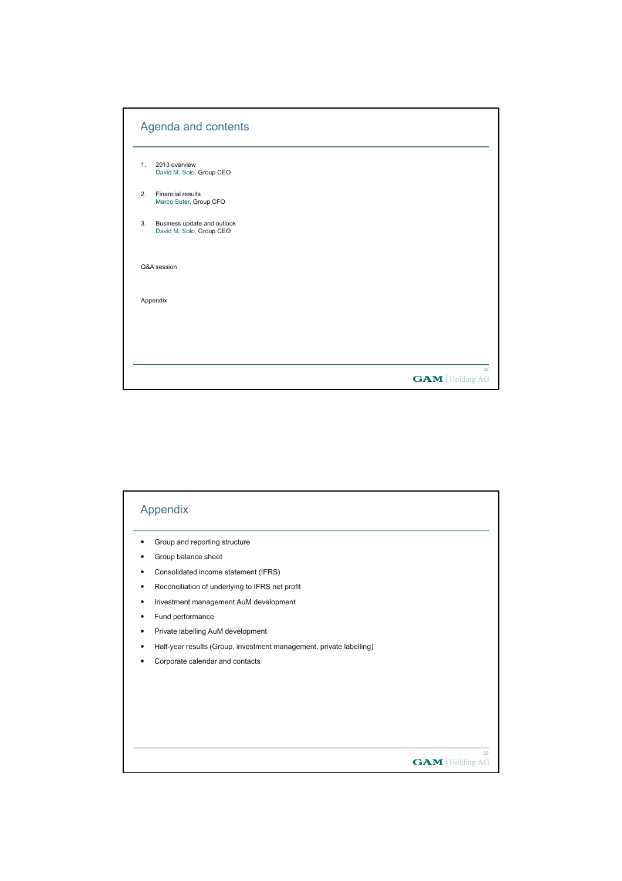|    | Agenda and contents                                     |                       |
|----|---------------------------------------------------------|-----------------------|
| 1. | 2013 overview<br>David M. Solo, Group CEO               |                       |
| 2. | <b>Financial results</b><br>Marco Suter, Group CFO      |                       |
| 3. | Business update and outlook<br>David M. Solo, Group CEO |                       |
|    | Q&A session                                             |                       |
|    | Appendix                                                |                       |
|    |                                                         |                       |
|    |                                                         |                       |
|    |                                                         | <b>GAM</b> Holding AG |

| Appendix                                                            |
|---------------------------------------------------------------------|
| Group and reporting structure                                       |
| Group balance sheet                                                 |
| Consolidated income statement (IFRS)                                |
| Reconciliation of underlying to IFRS net profit                     |
| Investment management AuM development                               |
| Fund performance                                                    |
| Private labelling AuM development                                   |
| Half-year results (Group, investment management, private labelling) |
| Corporate calendar and contacts                                     |
|                                                                     |
|                                                                     |
|                                                                     |
|                                                                     |
|                                                                     |
| 33                                                                  |
| <b>GAM</b> Holding AG                                               |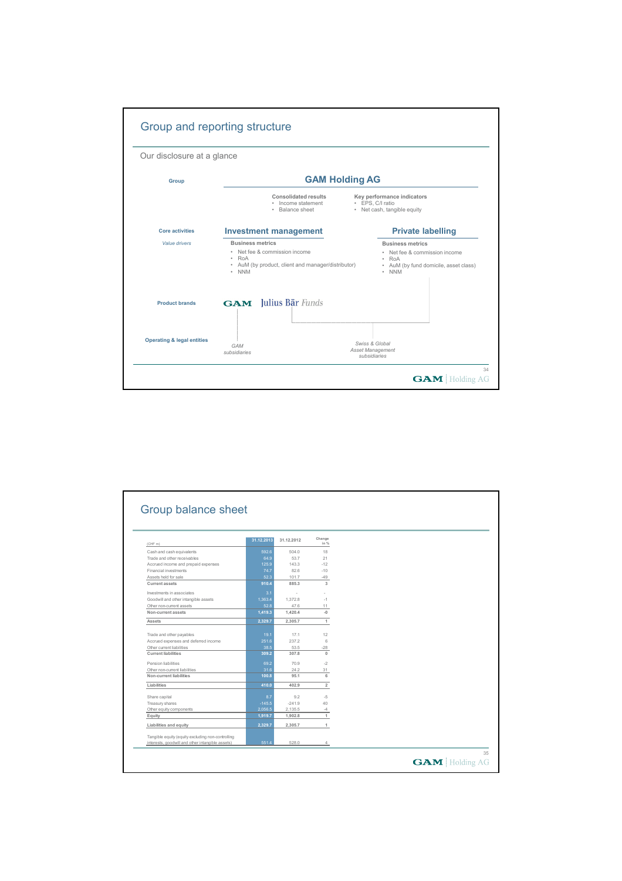

|                                                                                                       | 31.12.2013 | 31.12.2012 | Change         |  |
|-------------------------------------------------------------------------------------------------------|------------|------------|----------------|--|
| (CHF m)                                                                                               |            |            | in %           |  |
| Cash and cash equivalents                                                                             | 592.6      | 504.0      | 18             |  |
| Trade and other receivables                                                                           | 64.9       | 53.7       | 21             |  |
| Accrued income and prepaid expenses                                                                   | 125.9      | 143.3      | $-12$          |  |
| Financial investments                                                                                 | 74.7       | 82.6       | $-10$          |  |
| Assets held for sale                                                                                  | 52.3       | 101.7      | $-49$          |  |
| <b>Current assets</b>                                                                                 | 910.4      | 885.3      | 3              |  |
| Investments in associates                                                                             | 3.1        | $\sim$     |                |  |
| Goodwill and other intangible assets                                                                  | 1.363.4    | 1.372.8    | $-1$           |  |
| Other non-current assets                                                                              | 52.8       | 47.6       | 11             |  |
| Non-current assets                                                                                    | 1,419.3    | 1,420.4    | $-0$           |  |
| Assets                                                                                                | 2.329.7    | 2.305.7    | 1              |  |
|                                                                                                       |            |            |                |  |
| Trade and other payables                                                                              | 19.1       | 17.1       | 12             |  |
| Accrued expenses and deferred income                                                                  | 251.6      | 237.2      | 6              |  |
| Other current liabilities                                                                             | 38.5       | 53.5       | $-28$          |  |
| <b>Current liabilities</b>                                                                            | 309.2      | 307.8      | $\mathbf{0}$   |  |
| Pension liabilities                                                                                   | 69.2       | 70.9       | $-2$           |  |
| Other non-current liabilities                                                                         | 31.6       | 24.2       | 31             |  |
| Non-current liabilities                                                                               | 100.8      | 95.1       | 6              |  |
| Liabilities                                                                                           | 410.0      | 402.9      | $\overline{2}$ |  |
|                                                                                                       |            |            |                |  |
| Share capital                                                                                         | 8.7        | 9.2        | $-5$           |  |
| Treasury shares                                                                                       | $-145.5$   | $-241.9$   | 40             |  |
| Other equity components                                                                               | 2.056.5    | 2,135.5    | $-4$           |  |
| Equity                                                                                                | 1,919.7    | 1,902.8    | 1              |  |
| Liabilities and equity                                                                                | 2.329.7    | 2,305.7    | 1              |  |
|                                                                                                       |            |            |                |  |
| Tangible equity (equity excluding non-controlling<br>interests, goodwill and other intangible assets) | 551.4      | 528.0      | $\overline{4}$ |  |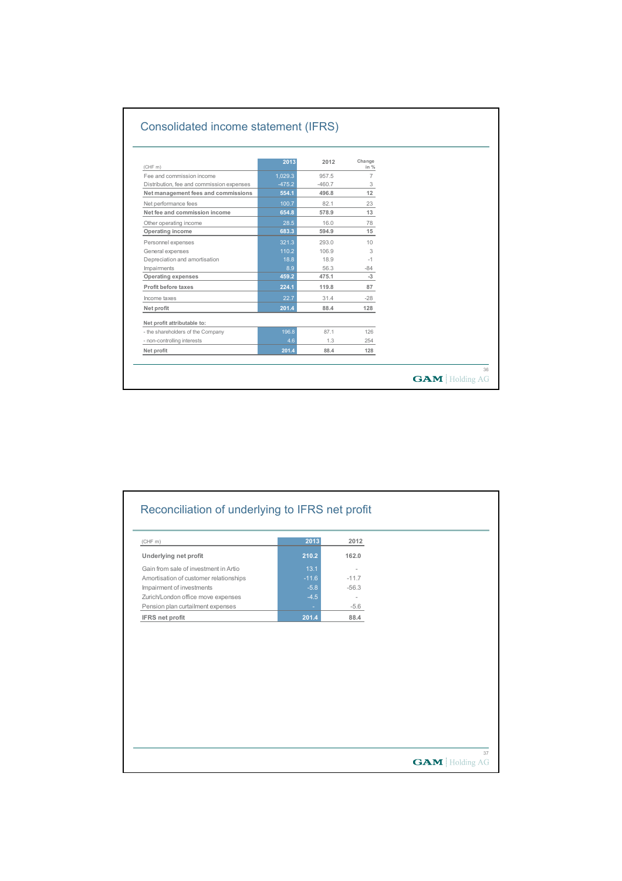| (CHF m)                                   | 2013     | 2012     | Change<br>in % |  |
|-------------------------------------------|----------|----------|----------------|--|
| Fee and commission income                 | 1,029.3  | 957.5    | $\overline{7}$ |  |
| Distribution, fee and commission expenses | $-475.2$ | $-460.7$ | 3              |  |
| Net management fees and commissions       | 554.1    | 496.8    | 12             |  |
| Net performance fees                      | 100.7    | 82.1     | 23             |  |
| Net fee and commission income             | 654.8    | 578.9    | 13             |  |
| Other operating income                    | 28.5     | 16.0     | 78             |  |
| Operating income                          | 683.3    | 594.9    | 15             |  |
| Personnel expenses                        | 321.3    | 293.0    | 10             |  |
| General expenses                          | 110.2    | 106.9    | 3              |  |
| Depreciation and amortisation             | 18.8     | 18.9     | $-1$           |  |
| Impairments                               | 8.9      | 56.3     | $-84$          |  |
| <b>Operating expenses</b>                 | 459.2    | 475.1    | $-3$           |  |
| Profit before taxes                       | 224.1    | 119.8    | 87             |  |
| Income taxes                              | 22.7     | 31.4     | $-28$          |  |
| Net profit                                | 201.4    | 88.4     | 128            |  |
| Net profit attributable to:               |          |          |                |  |
| - the shareholders of the Company         | 196.8    | 87.1     | 126            |  |
| - non-controlling interests               | 4.6      | 1.3      | 254            |  |
| Net profit                                | 201.4    | 88.4     | 128            |  |

| Underlying net profit<br>Gain from sale of investment in Artio<br>Amortisation of customer relationships<br>Impairment of investments<br>Zurich/London office move expenses<br>Pension plan curtailment expenses<br><b>IFRS</b> net profit | 210.2<br>13.1<br>$-11.6$<br>$-5.8$<br>$-4.5$<br>201.4 | 162.0<br>$-11.7$<br>$-56.3$<br>$\sim$<br>$-5.6$<br>88.4 |
|--------------------------------------------------------------------------------------------------------------------------------------------------------------------------------------------------------------------------------------------|-------------------------------------------------------|---------------------------------------------------------|
|                                                                                                                                                                                                                                            |                                                       |                                                         |
|                                                                                                                                                                                                                                            |                                                       |                                                         |
|                                                                                                                                                                                                                                            |                                                       |                                                         |
|                                                                                                                                                                                                                                            |                                                       |                                                         |
|                                                                                                                                                                                                                                            |                                                       |                                                         |
|                                                                                                                                                                                                                                            |                                                       |                                                         |
|                                                                                                                                                                                                                                            |                                                       |                                                         |
|                                                                                                                                                                                                                                            |                                                       |                                                         |
|                                                                                                                                                                                                                                            |                                                       |                                                         |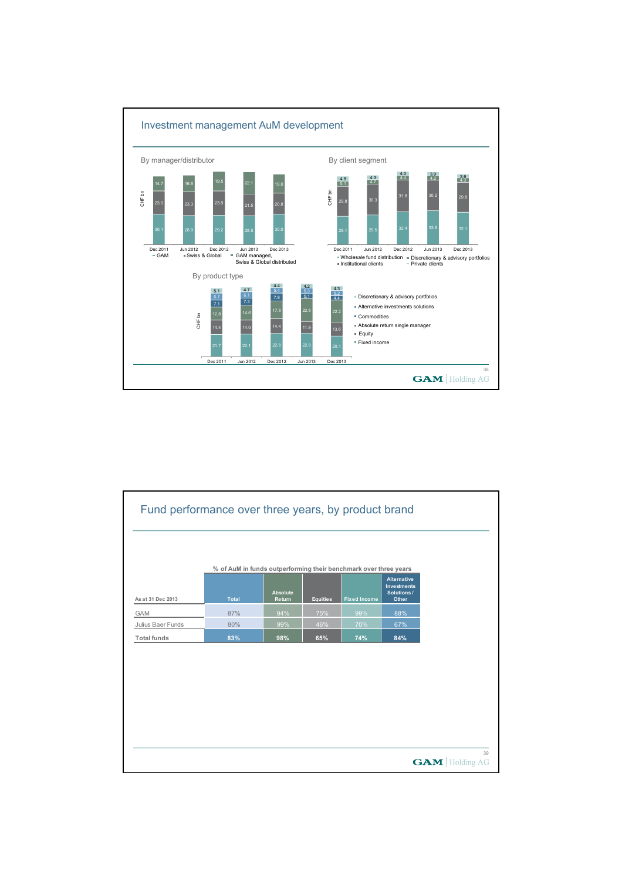

| Fund performance over three years, by product brand |                                                                  |                    |                 |                     |                                                          |                             |
|-----------------------------------------------------|------------------------------------------------------------------|--------------------|-----------------|---------------------|----------------------------------------------------------|-----------------------------|
|                                                     | % of AuM in funds outperforming their benchmark over three years |                    |                 |                     |                                                          |                             |
| As at 31 Dec 2013                                   | <b>Total</b>                                                     | Absolute<br>Return | <b>Equities</b> | <b>Fixed Income</b> | <b>Alternative</b><br>Investments<br>Solutions/<br>Other |                             |
| <b>GAM</b>                                          | 87%                                                              | 94%                | 75%             | 99%                 | 88%                                                      |                             |
| Julius Baer Funds                                   | 80%                                                              | 99%                | 46%             | 70%                 | 67%                                                      |                             |
| <b>Total funds</b>                                  | 83%                                                              | 98%                | 65%             | 74%                 | 84%                                                      |                             |
|                                                     |                                                                  |                    |                 |                     |                                                          |                             |
|                                                     |                                                                  |                    |                 |                     |                                                          |                             |
|                                                     |                                                                  |                    |                 |                     |                                                          |                             |
|                                                     |                                                                  |                    |                 |                     |                                                          |                             |
|                                                     |                                                                  |                    |                 |                     |                                                          |                             |
|                                                     |                                                                  |                    |                 |                     |                                                          |                             |
|                                                     |                                                                  |                    |                 |                     |                                                          |                             |
|                                                     |                                                                  |                    |                 |                     |                                                          |                             |
|                                                     |                                                                  |                    |                 |                     |                                                          | 39<br><b>GAM</b> Holding AG |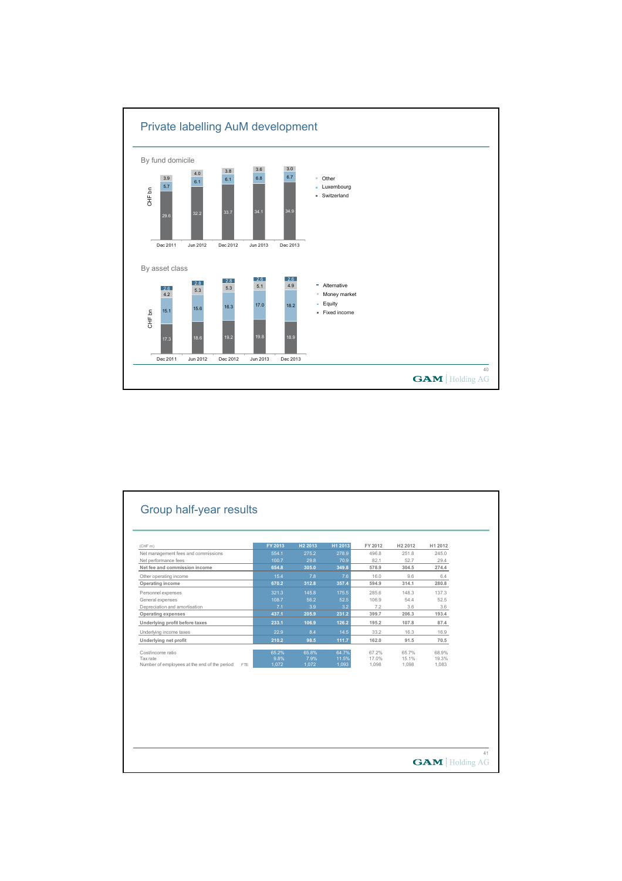

| (CHF m)                                             | FY 2013 | H <sub>2</sub> 2013 | H1 2013 | FY 2012 | H <sub>2</sub> 2012 | H1 2012 |  |
|-----------------------------------------------------|---------|---------------------|---------|---------|---------------------|---------|--|
| Net management fees and commissions                 | 554.1   | 275.2               | 278.9   | 496.8   | 251.8               | 245.0   |  |
| Net performance fees                                | 100.7   | 29.8                | 70.9    | 82.1    | 52.7                | 29.4    |  |
| Net fee and commission income                       | 654.8   | 305.0               | 349.8   | 578.9   | 304.5               | 274.4   |  |
| Other operating income                              | 15.4    | 7.8                 | 7.6     | 16.0    | 9.6                 | 6.4     |  |
| Operating income                                    | 670.2   | 312.8               | 357.4   | 594.9   | 314.1               | 280.8   |  |
| Personnel expenses                                  | 321.3   | 145.8               | 175.5   | 285.6   | 148.3               | 137.3   |  |
| General expenses                                    | 108.7   | 56.2                | 52.5    | 106.9   | 54.4                | 52.5    |  |
| Depreciation and amortisation                       | 7.1     | 3.9                 | 3.2     | 7.2     | 3.6                 | 3.6     |  |
| <b>Operating expenses</b>                           | 437.1   | 205.9               | 231.2   | 399.7   | 206.3               | 193.4   |  |
| Underlying profit before taxes                      | 233.1   | 106.9               | 126.2   | 195.2   | 107.8               | 87.4    |  |
| Underlying income taxes                             | 22.9    | 8.4                 | 14.5    | 33.2    | 16.3                | 16.9    |  |
| Underlying net profit                               | 210.2   | 98.5                | 111.7   | 162.0   | 91.5                | 70.5    |  |
| Cost/income ratio                                   | 65.2%   | 65.8%               | 64.7%   | 67.2%   | 65.7%               | 68.9%   |  |
| Tax rate                                            | 9.8%    | 7.9%                | 11.5%   | 17.0%   | 15.1%               | 19.3%   |  |
| Number of employees at the end of the period<br>FTE | 1.072   | 1,072               | 1,093   | 1,098   | 1.098               | 1.083   |  |
|                                                     |         |                     |         |         |                     |         |  |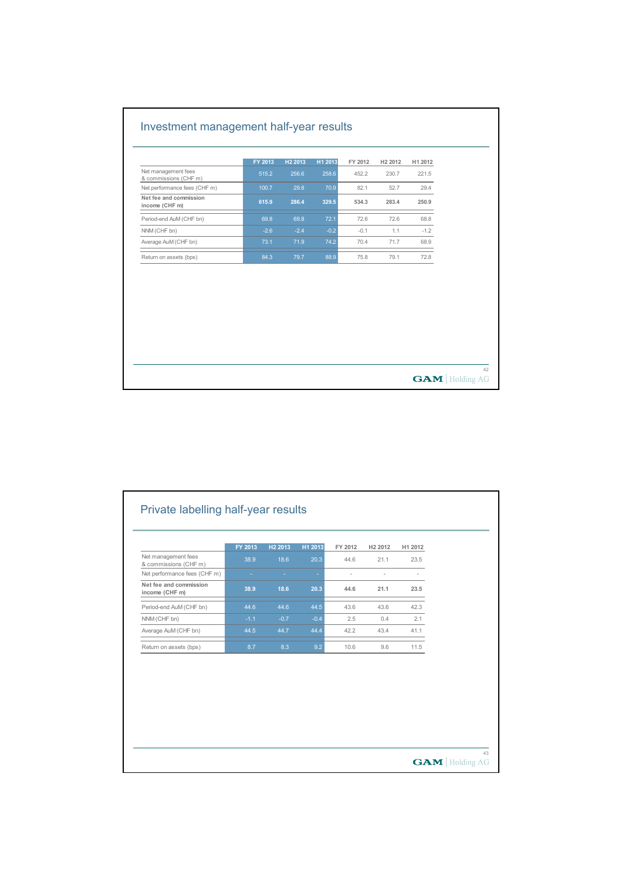|                                              | FY 2013 | H <sub>2</sub> 2013 | H1 2013 | FY 2012 | H <sub>2</sub> 2012 | H1 2012 |  |
|----------------------------------------------|---------|---------------------|---------|---------|---------------------|---------|--|
| Net management fees<br>& commissions (CHF m) | 515.2   | 256.6               | 258.6   | 452.2   | 230.7               | 221.5   |  |
| Net performance fees (CHF m)                 | 100.7   | 29.8                | 70.9    | 82.1    | 52.7                | 29.4    |  |
| Net fee and commission<br>income (CHF m)     | 615.9   | 286.4               | 329.5   | 534.3   | 283.4               | 250.9   |  |
| Period-end AuM (CHF bn)                      | 69.8    | 69.8                | 72.1    | 72.6    | 72.6                | 68.8    |  |
| NNM (CHF bn)                                 | $-2.6$  | $-2.4$              | $-0.2$  | $-0.1$  | 1.1                 | $-1.2$  |  |
| Average AuM (CHF bn)                         | 73.1    | 71.9                | 74.2    | 70.4    | 71.7                | 68.9    |  |
| Return on assets (bps)                       | 84.3    | 79.7                | 88.9    | 75.8    | 79.1                | 72.8    |  |
|                                              |         |                     |         |         |                     |         |  |

|                                              | FY 2013 | H <sub>2</sub> 2013 | H1 2013 | FY 2012 | H <sub>2</sub> 2012 | H1 2012 |  |
|----------------------------------------------|---------|---------------------|---------|---------|---------------------|---------|--|
| Net management fees<br>& commissions (CHF m) | 38.9    | 18.6                | 20.3    | 44.6    | 21.1                | 23.5    |  |
| Net performance fees (CHF m)                 |         |                     |         | ä,      |                     |         |  |
| Net fee and commission<br>income (CHF m)     | 38.9    | 18.6                | 20.3    | 44.6    | 21.1                | 23.5    |  |
| Period-end AuM (CHF bn)                      | 44.6    | 44.6                | 44.5    | 43.6    | 43.6                | 42.3    |  |
| NNM (CHF bn)                                 | $-1.1$  | $-0.7$              | $-0.4$  | 2.5     | 0.4                 | 2.1     |  |
| Average AuM (CHF bn)                         | 44.5    | 44.7                | 44.4    | 42.2    | 43.4                | 41.1    |  |
| Return on assets (bps)                       | 8.7     | 8.3                 | 9.2     | 10.6    | 9.6                 | 11.5    |  |
|                                              |         |                     |         |         |                     |         |  |